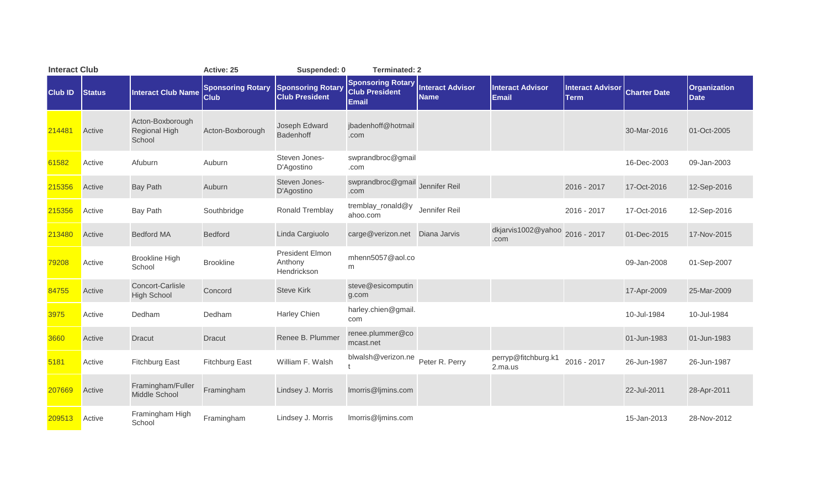| <b>Interact Club</b> |               |                                                    | Active: 25                              | Suspended: 0                                      | <b>Terminated: 2</b>                                              |                                        |                                         |                                        |                     |                             |
|----------------------|---------------|----------------------------------------------------|-----------------------------------------|---------------------------------------------------|-------------------------------------------------------------------|----------------------------------------|-----------------------------------------|----------------------------------------|---------------------|-----------------------------|
| <b>Club ID</b>       | <b>Status</b> | <b>Interact Club Name</b>                          | <b>Sponsoring Rotary</b><br><b>Club</b> | <b>Sponsoring Rotary</b><br><b>Club President</b> | <b>Sponsoring Rotary</b><br><b>Club President</b><br><b>Email</b> | <b>Interact Advisor</b><br><b>Name</b> | <b>Interact Advisor</b><br><b>Email</b> | <b>Interact Advisor</b><br><b>Term</b> | <b>Charter Date</b> | <b>Organization</b><br>Date |
| 214481               | Active        | Acton-Boxborough<br><b>Regional High</b><br>School | Acton-Boxborough                        | Joseph Edward<br><b>Badenhoff</b>                 | jbadenhoff@hotmail<br>.com                                        |                                        |                                         |                                        | 30-Mar-2016         | 01-Oct-2005                 |
| 61582                | Active        | Afuburn                                            | Auburn                                  | Steven Jones-<br>D'Agostino                       | swprandbroc@gmail<br>.com                                         |                                        |                                         |                                        | 16-Dec-2003         | 09-Jan-2003                 |
| 215356               | Active        | <b>Bay Path</b>                                    | Auburn                                  | Steven Jones-<br>D'Agostino                       | swprandbroc@gmail Jennifer Reil<br>.com                           |                                        |                                         | 2016 - 2017                            | 17-Oct-2016         | 12-Sep-2016                 |
| 215356               | Active        | <b>Bay Path</b>                                    | Southbridge                             | Ronald Tremblay                                   | tremblay_ronald@y<br>ahoo.com                                     | Jennifer Reil                          |                                         | 2016 - 2017                            | 17-Oct-2016         | 12-Sep-2016                 |
| 213480               | Active        | <b>Bedford MA</b>                                  | <b>Bedford</b>                          | Linda Cargiuolo                                   | carge@verizon.net    Diana Jarvis                                 |                                        | dkjarvis1002@yahoo<br>.com              | 2016 - 2017                            | 01-Dec-2015         | 17-Nov-2015                 |
| 79208                | Active        | <b>Brookline High</b><br>School                    | <b>Brookline</b>                        | President Elmon<br>Anthony<br>Hendrickson         | mhenn5057@aol.co<br>m                                             |                                        |                                         |                                        | 09-Jan-2008         | 01-Sep-2007                 |
| 84755                | Active        | Concort-Carlisle<br><b>High School</b>             | Concord                                 | <b>Steve Kirk</b>                                 | steve@esicomputin<br>g.com                                        |                                        |                                         |                                        | 17-Apr-2009         | 25-Mar-2009                 |
| 3975                 | Active        | Dedham                                             | Dedham                                  | Harley Chien                                      | harley.chien@gmail.<br>com                                        |                                        |                                         |                                        | 10-Jul-1984         | 10-Jul-1984                 |
| 3660                 | Active        | <b>Dracut</b>                                      | <b>Dracut</b>                           | Renee B. Plummer                                  | renee.plummer@co<br>mcast.net                                     |                                        |                                         |                                        | 01-Jun-1983         | 01-Jun-1983                 |
| 5181                 | Active        | <b>Fitchburg East</b>                              | <b>Fitchburg East</b>                   | William F. Walsh                                  | blwalsh@verizon.ne                                                | Peter R. Perry                         | perryp@fitchburg.k1<br>2.ma.us          | 2016 - 2017                            | 26-Jun-1987         | 26-Jun-1987                 |
| 207669               | Active        | Framingham/Fuller<br>Middle School                 | Framingham                              | Lindsey J. Morris                                 | Imorris@ljmins.com                                                |                                        |                                         |                                        | 22-Jul-2011         | 28-Apr-2011                 |
| 209513               | Active        | Framingham High<br>School                          | Framingham                              | Lindsey J. Morris                                 | Imorris@ljmins.com                                                |                                        |                                         |                                        | 15-Jan-2013         | 28-Nov-2012                 |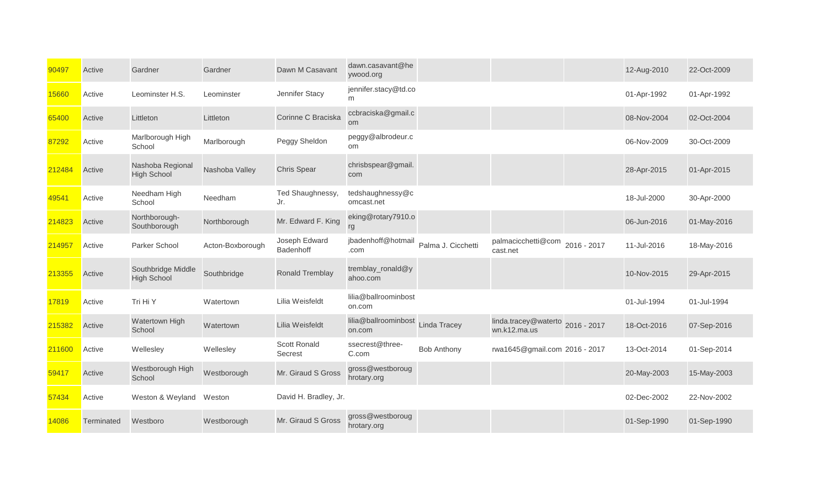| 90497  | Active     | Gardner                                  | Gardner          | Dawn M Casavant            | dawn.casavant@he<br>ywood.org   |                     |                                                  |             | 12-Aug-2010 | 22-Oct-2009 |
|--------|------------|------------------------------------------|------------------|----------------------------|---------------------------------|---------------------|--------------------------------------------------|-------------|-------------|-------------|
| 15660  | Active     | Leominster H.S.                          | Leominster       | Jennifer Stacy             | jennifer.stacy@td.co<br>m       |                     |                                                  |             | 01-Apr-1992 | 01-Apr-1992 |
| 65400  | Active     | Littleton                                | Littleton        | Corinne C Braciska         | ccbraciska@gmail.c<br><b>om</b> |                     |                                                  |             | 08-Nov-2004 | 02-Oct-2004 |
| 87292  | Active     | Marlborough High<br>School               | Marlborough      | Peggy Sheldon              | peggy@albrodeur.c<br>om         |                     |                                                  |             | 06-Nov-2009 | 30-Oct-2009 |
| 212484 | Active     | Nashoba Regional<br><b>High School</b>   | Nashoba Valley   | <b>Chris Spear</b>         | chrisbspear@gmail.<br>com       |                     |                                                  |             | 28-Apr-2015 | 01-Apr-2015 |
| 49541  | Active     | Needham High<br>School                   | Needham          | Ted Shaughnessy,<br>Jr.    | tedshaughnessy@c<br>omcast.net  |                     |                                                  |             | 18-Jul-2000 | 30-Apr-2000 |
| 214823 | Active     | Northborough-<br>Southborough            | Northborough     | Mr. Edward F. King         | eking@rotary7910.o<br>rg        |                     |                                                  |             | 06-Jun-2016 | 01-May-2016 |
| 214957 | Active     | Parker School                            | Acton-Boxborough | Joseph Edward<br>Badenhoff | jbadenhoff@hotmail<br>.com      | Palma J. Cicchetti  | palmacicchetti@com<br>cast.net                   | 2016 - 2017 | 11-Jul-2016 | 18-May-2016 |
| 213355 | Active     | Southbridge Middle<br><b>High School</b> | Southbridge      | Ronald Tremblay            | tremblay_ronald@y<br>ahoo.com   |                     |                                                  |             | 10-Nov-2015 | 29-Apr-2015 |
| 17819  | Active     | Tri Hi Y                                 | Watertown        | Lilia Weisfeldt            | lilia@ballroominbost<br>on.com  |                     |                                                  |             | 01-Jul-1994 | 01-Jul-1994 |
| 215382 | Active     | Watertown High<br>School                 | Watertown        | Lilia Weisfeldt            | lilia@ballroominbost<br>on.com  | <b>Linda Tracey</b> | linda.tracey@waterto 2016 - 2017<br>wn.k12.ma.us |             | 18-Oct-2016 | 07-Sep-2016 |
| 211600 | Active     | Wellesley                                | Wellesley        | Scott Ronald<br>Secrest    | ssecrest@three-<br>C.com        | <b>Bob Anthony</b>  | rwa1645@gmail.com 2016 - 2017                    |             | 13-Oct-2014 | 01-Sep-2014 |
| 59417  | Active     | Westborough High<br>School               | Westborough      | Mr. Giraud S Gross         | gross@westboroug<br>hrotary.org |                     |                                                  |             | 20-May-2003 | 15-May-2003 |
| 57434  | Active     | Weston & Weyland                         | Weston           | David H. Bradley, Jr.      |                                 |                     |                                                  |             | 02-Dec-2002 | 22-Nov-2002 |
| 14086  | Terminated | Westboro                                 | Westborough      | Mr. Giraud S Gross         | gross@westboroug<br>hrotary.org |                     |                                                  |             | 01-Sep-1990 | 01-Sep-1990 |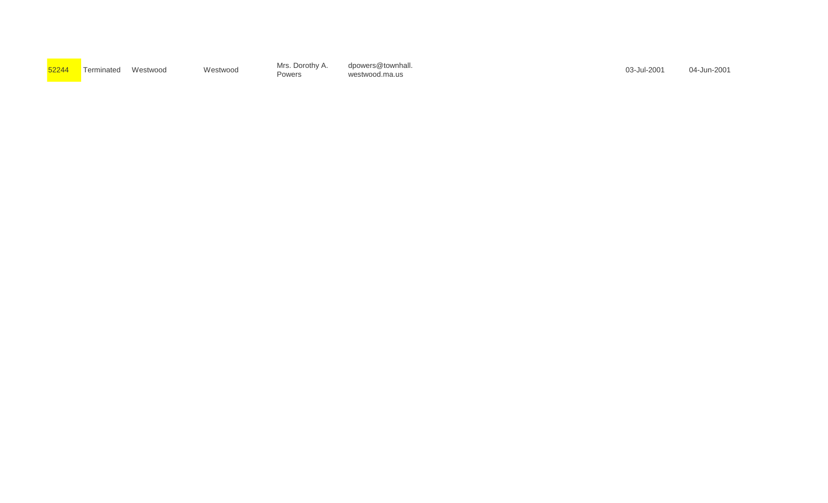| ;2244 |  |
|-------|--|
|       |  |

Powers

of the Mrs. Dorothy A. dpowers@townhall.<br>52244 Terminated Westwood Westwood Mestwood Dowers westwood marie was also week to have been more to the US-Ju westwood.ma.us

dpowers@townhall.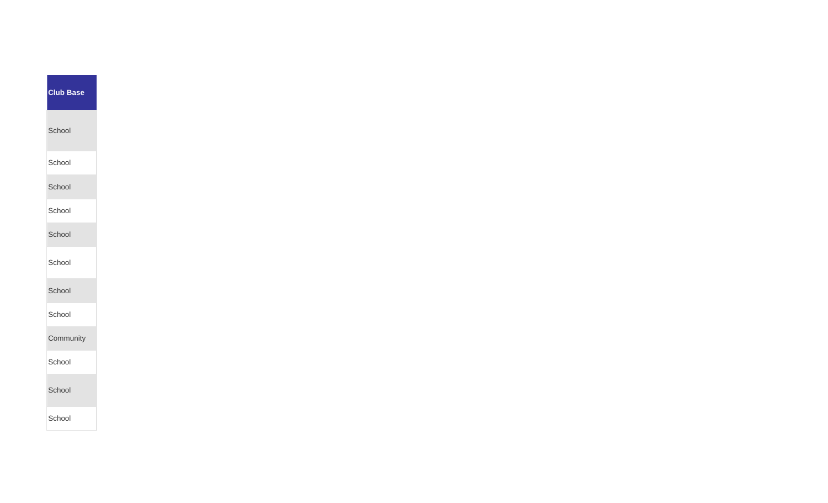| <b>Club Base</b> |
|------------------|
| School           |
| School           |
| School           |
| School           |
| School           |
| School           |
| School           |
| School           |
| Community        |
| School           |
| School           |
| School           |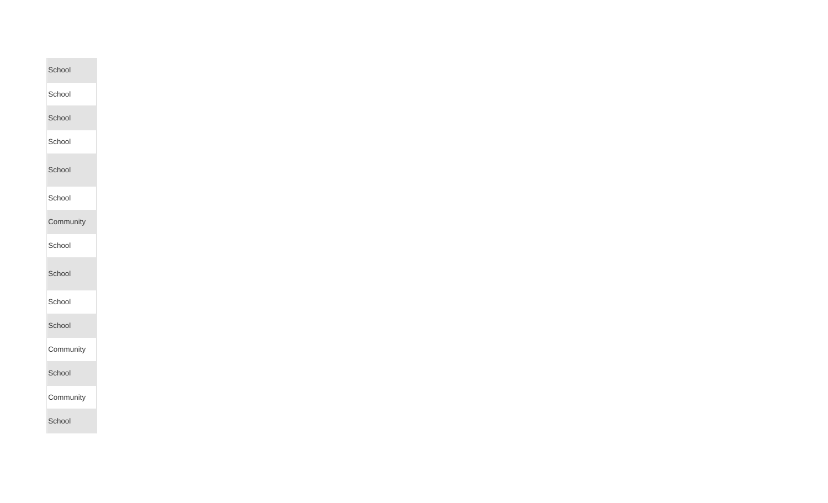| School    |
|-----------|
| School    |
| School    |
| School    |
|           |
| School    |
| School    |
| Community |
| School    |
| School    |
|           |
| School    |
| School    |
| Community |
| School    |
| Community |
| School    |